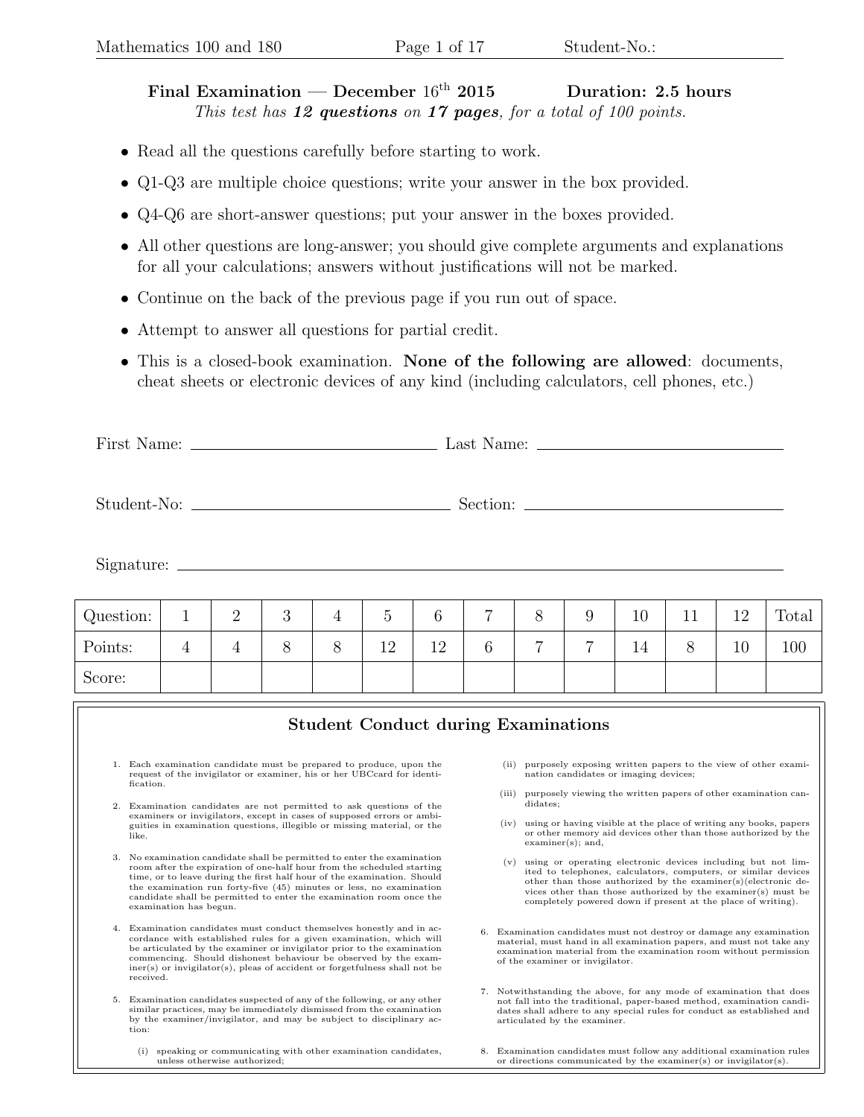## Final Examination — December  $16<sup>th</sup>$  2015 Duration: 2.5 hours This test has  $12$  questions on  $17$  pages, for a total of  $100$  points.

- Read all the questions carefully before starting to work.
- Q1-Q3 are multiple choice questions; write your answer in the box provided.
- Q4-Q6 are short-answer questions; put your answer in the boxes provided.
- All other questions are long-answer; you should give complete arguments and explanations for all your calculations; answers without justifications will not be marked.
- Continue on the back of the previous page if you run out of space.
- Attempt to answer all questions for partial credit.
- This is a closed-book examination. None of the following are allowed: documents, cheat sheets or electronic devices of any kind (including calculators, cell phones, etc.)

First Name: Last Name:

Student-No: Section:

Signature:

| Question: | <b>.</b> | $\Omega$<br>↵ | റ<br>◡ |   |    |          | -               | Ο |                | 10       | <b>++</b> | 1 ດ<br>∸∸ | Total |
|-----------|----------|---------------|--------|---|----|----------|-----------------|---|----------------|----------|-----------|-----------|-------|
| Points:   | <b>I</b> | ±             |        | Ο | 12 | 19<br>∸∸ | $\sqrt{2}$<br>b | − | $\overline{ }$ | -1<br>⊥± | ◔         | 10        | 100   |
| Score:    |          |               |        |   |    |          |                 |   |                |          |           |           |       |

|    | <b>Student Conduct during Examinations</b>                                                                                                                                                                                                                                                                                                                                                        |                                                                                                                                                                                                                                                                                                                                        |  |
|----|---------------------------------------------------------------------------------------------------------------------------------------------------------------------------------------------------------------------------------------------------------------------------------------------------------------------------------------------------------------------------------------------------|----------------------------------------------------------------------------------------------------------------------------------------------------------------------------------------------------------------------------------------------------------------------------------------------------------------------------------------|--|
| 2. | 1. Each examination candidate must be prepared to produce, upon the<br>request of the invigilator or examiner, his or her UBCcard for identi-<br>fication.<br>Examination candidates are not permitted to ask questions of the<br>examiners or invigilators, except in cases of supposed errors or ambi-                                                                                          | purposely exposing written papers to the view of other exami-<br>(ii)<br>nation candidates or imaging devices;<br>purposely viewing the written papers of other examination can-<br>(iii)<br>didates;                                                                                                                                  |  |
|    | guities in examination questions, illegible or missing material, or the<br>like.                                                                                                                                                                                                                                                                                                                  | using or having visible at the place of writing any books, papers<br>(iv)<br>or other memory aid devices other than those authorized by the<br>$examiner(s);$ and,                                                                                                                                                                     |  |
| 3. | No examination candidate shall be permitted to enter the examination<br>room after the expiration of one-half hour from the scheduled starting<br>time, or to leave during the first half hour of the examination. Should<br>the examination run forty-five (45) minutes or less, no examination<br>candidate shall be permitted to enter the examination room once the<br>examination has begun. | using or operating electronic devices including but not lim-<br>(v)<br>ited to telephones, calculators, computers, or similar devices<br>other than those authorized by the examiner(s)(electronic de-<br>vices other than those authorized by the examiner(s) must be<br>completely powered down if present at the place of writing). |  |
| 4. | Examination candidates must conduct themselves honestly and in ac-<br>cordance with established rules for a given examination, which will<br>be articulated by the examiner or invigilator prior to the examination<br>commencing. Should dishonest behaviour be observed by the exam-<br>$iner(s)$ or invigilator(s), pleas of accident or forgetfulness shall not be<br>received.               | Examination candidates must not destroy or damage any examination<br>6.<br>material, must hand in all examination papers, and must not take any<br>examination material from the examination room without permission<br>of the examiner or invigilator.                                                                                |  |
| 5. | Examination candidates suspected of any of the following, or any other<br>similar practices, may be immediately dismissed from the examination<br>by the examiner/invigilator, and may be subject to disciplinary ac-<br>tion:                                                                                                                                                                    | 7. Notwithstanding the above, for any mode of examination that does<br>not fall into the traditional, paper-based method, examination candi-<br>dates shall adhere to any special rules for conduct as established and<br>articulated by the examiner.                                                                                 |  |
|    | speaking or communicating with other examination candidates,<br>(i)<br>unless otherwise authorized;                                                                                                                                                                                                                                                                                               | Examination candidates must follow any additional examination rules<br>or directions communicated by the examiner(s) or invigilator(s).                                                                                                                                                                                                |  |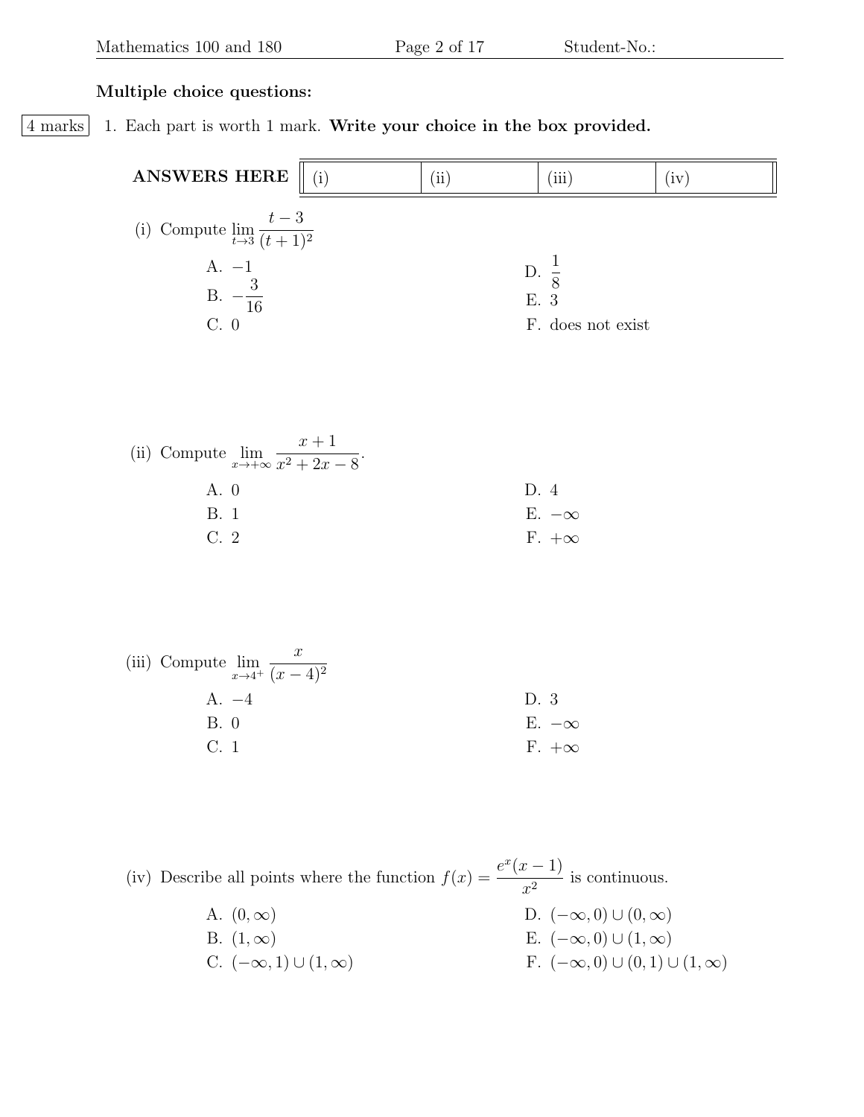## Multiple choice questions:

4 marks 1. Each part is worth 1 mark. Write your choice in the box provided.

| ANSWERS HERE                                               | (i) | (ii) | (iii)                    | (iv) |
|------------------------------------------------------------|-----|------|--------------------------|------|
| (i) Compute $\lim_{t\to 3} \frac{t-3}{(t+1)^2}$            |     |      |                          |      |
| A. $-1$<br>B. $-\frac{3}{16}$                              |     |      | D. $\frac{1}{8}$<br>E. 3 |      |
| $C. \; 0$                                                  |     |      | F. does not exist        |      |
|                                                            |     |      |                          |      |
| (ii) Compute $\lim_{x \to +\infty} \frac{x+1}{x^2+2x-8}$ . |     |      |                          |      |
| A. 0                                                       |     |      | D. 4                     |      |
| <b>B.</b> 1                                                |     |      | E. $-\infty$             |      |
| $C.2$                                                      |     |      | $F. +\infty$             |      |
|                                                            |     |      |                          |      |
| (iii) Compute $\lim_{x \to 4^+} \frac{x}{(x-4)^2}$         |     |      |                          |      |
| $A. -4$                                                    |     |      | D. 3                     |      |
| B. 0                                                       |     |      | E. $-\infty$             |      |
| C. 1                                                       |     |      | $F. +\infty$             |      |
|                                                            |     |      |                          |      |

(iv) Describe all points where the function  $f(x) = \frac{e^x(x-1)}{2}$  $\frac{x^{2}}{x^{2}}$  is continuous.

> A.  $(0, \infty)$ B.  $(1, \infty)$ C.  $(-\infty, 1) \cup (1, \infty)$ D.  $(-\infty,0) \cup (0,\infty)$ E.  $(-\infty,0) \cup (1,\infty)$ F.  $(-\infty, 0) \cup (0, 1) \cup (1, \infty)$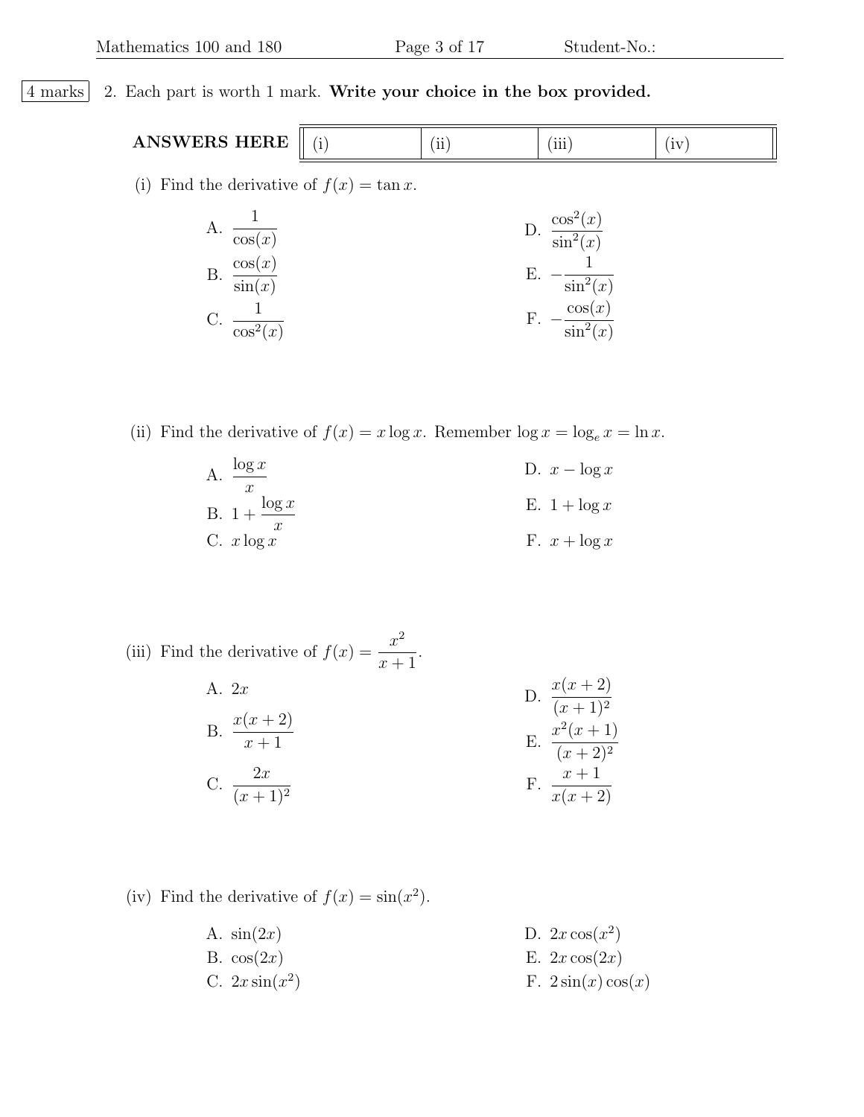## 4 marks 2. Each part is worth 1 mark. Write your choice in the box provided.

ANSWERS HERE  $\parallel$  (i)  $\parallel$  (ii)  $\parallel$  (iii) (iv)

(i) Find the derivative of  $f(x) = \tan x$ .

| $\cos(x)$                         | $\cos^2(x)$<br>$\sin^2(x)$                  |
|-----------------------------------|---------------------------------------------|
| $\cos(x)$<br>$\overline{\sin(x)}$ | $\sin^2(x)$                                 |
| $\cos^2(x)$                       | $\cos(x)$<br>$\sin^{2}$<br>$\frac{1}{2}(x)$ |

(ii) Find the derivative of  $f(x) = x \log x$ . Remember  $\log x = \log_e x = \ln x$ .

A. 
$$
\frac{\log x}{x}
$$
  
B. 
$$
1 + \frac{\log x}{x}
$$
  
C. 
$$
x \log x
$$
  
E. 
$$
1 + \log x
$$
  
F. 
$$
x + \log x
$$

(iii) Find the derivative of  $f(x) = \frac{x^2}{x}$  $x + 1$ .

A. 2x  
\nB. 
$$
\frac{x(x+2)}{x+1}
$$
  
\nC.  $\frac{2x}{(x+1)^2}$   
\nD.  $\frac{x(x+2)}{(x+1)^2}$   
\nE.  $\frac{x^2(x+1)}{(x+2)^2}$   
\nF.  $\frac{x+1}{x(x+2)}$ 

(iv) Find the derivative of  $f(x) = \sin(x^2)$ .

A.  $sin(2x)$ B.  $cos(2x)$ C.  $2x \sin(x^2)$ D.  $2x \cos(x^2)$ E.  $2x \cos(2x)$ F.  $2\sin(x)\cos(x)$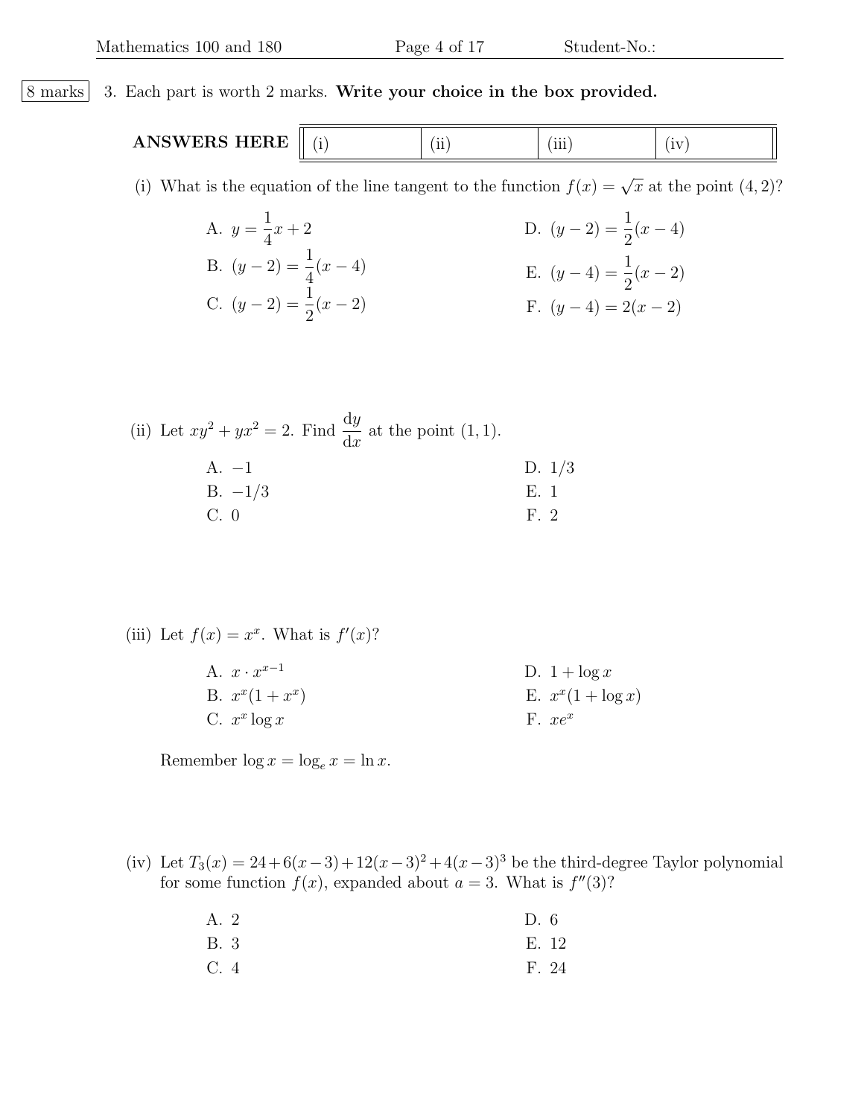## 8 marks 3. Each part is worth 2 marks. Write your choice in the box provided. ANSWERS HERE  $\parallel$  (i)  $\parallel$  (iii)  $\parallel$  (iii) (iv) (i) What is the equation of the line tangent to the function  $f(x) = \sqrt{x}$  at the point  $(4, 2)$ ? A.  $y =$ 1 4  $x + 2$ B.  $(y-2) = \frac{1}{4}$ 4  $(x - 4)$ C.  $(y-2) = \frac{1}{2}$ D.  $(y-2) = \frac{1}{2}$ 2  $(x - 4)$ E.  $(y-4) = \frac{1}{2}$ 2  $(x - 2)$ F.  $(y-4) = 2(x-2)$

(ii) Let 
$$
xy^2 + yx^2 = 2
$$
. Find  $\frac{dy}{dx}$  at the point (1, 1).  
A. -1  
B. -1/3  
C. 0  
E. 1  
E. 1

2

 $(x - 2)$ 

(iii) Let 
$$
f(x) = x^x
$$
. What is  $f'(x)$ ?

A.  $x \cdot x^{x-1}$ B.  $x^x(1+x^x)$ C.  $x^x \log x$ D.  $1 + \log x$ E.  $x^x(1 + \log x)$ F.  $xe^x$ 

Remember  $\log x = \log_e x = \ln x$ .

(iv) Let  $T_3(x) = 24 + 6(x-3) + 12(x-3)^2 + 4(x-3)^3$  be the third-degree Taylor polynomial for some function  $f(x)$ , expanded about  $a = 3$ . What is  $f''(3)$ ?

| A. 2 | D.6   |
|------|-------|
| B. 3 | E. 12 |
| C.4  | F. 24 |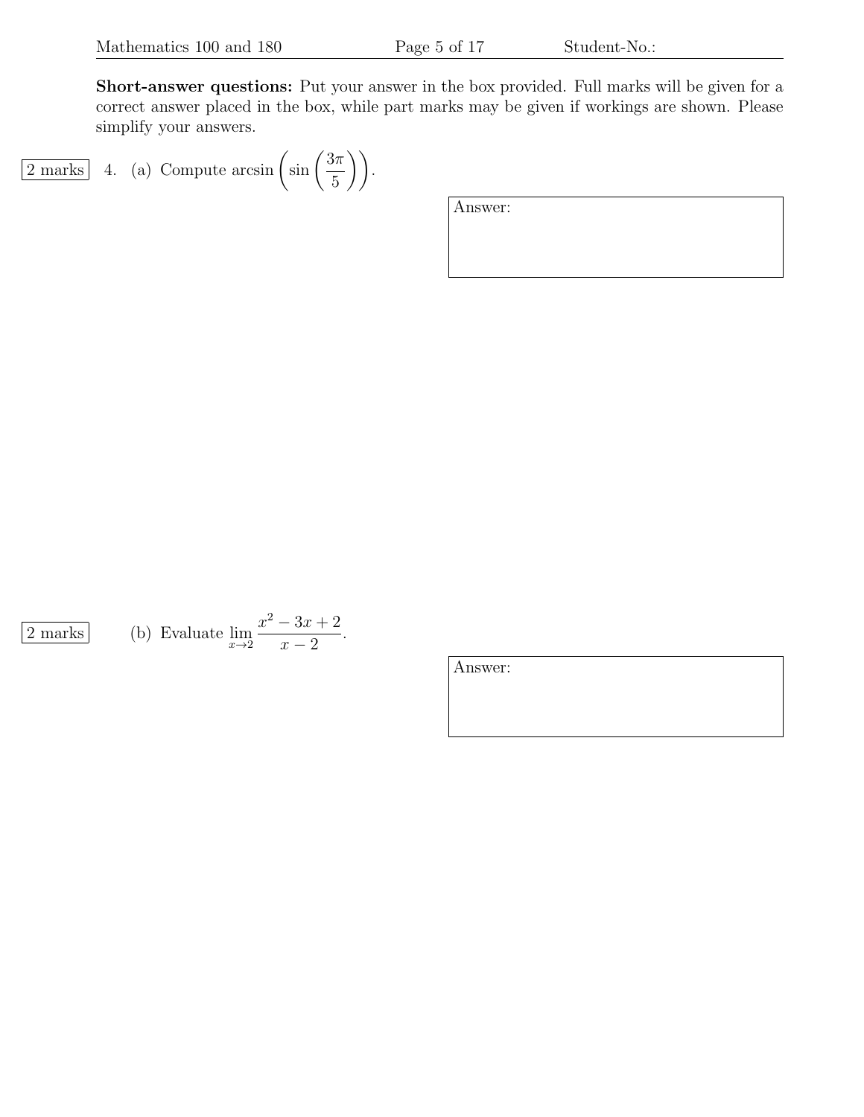Short-answer questions: Put your answer in the box provided. Full marks will be given for a correct answer placed in the box, while part marks may be given if workings are shown. Please simplify your answers.

$$
\boxed{2 \text{ marks}} \quad 4. \quad \text{(a) Compute } \arcsin\left(\sin\left(\frac{3\pi}{5}\right)\right).
$$

| Answer: |  |  |
|---------|--|--|
|         |  |  |
|         |  |  |

 $\boxed{2 \text{ marks}}$ 

(b) Evaluate 
$$
\lim_{x \to 2} \frac{x^2 - 3x + 2}{x - 2}
$$
.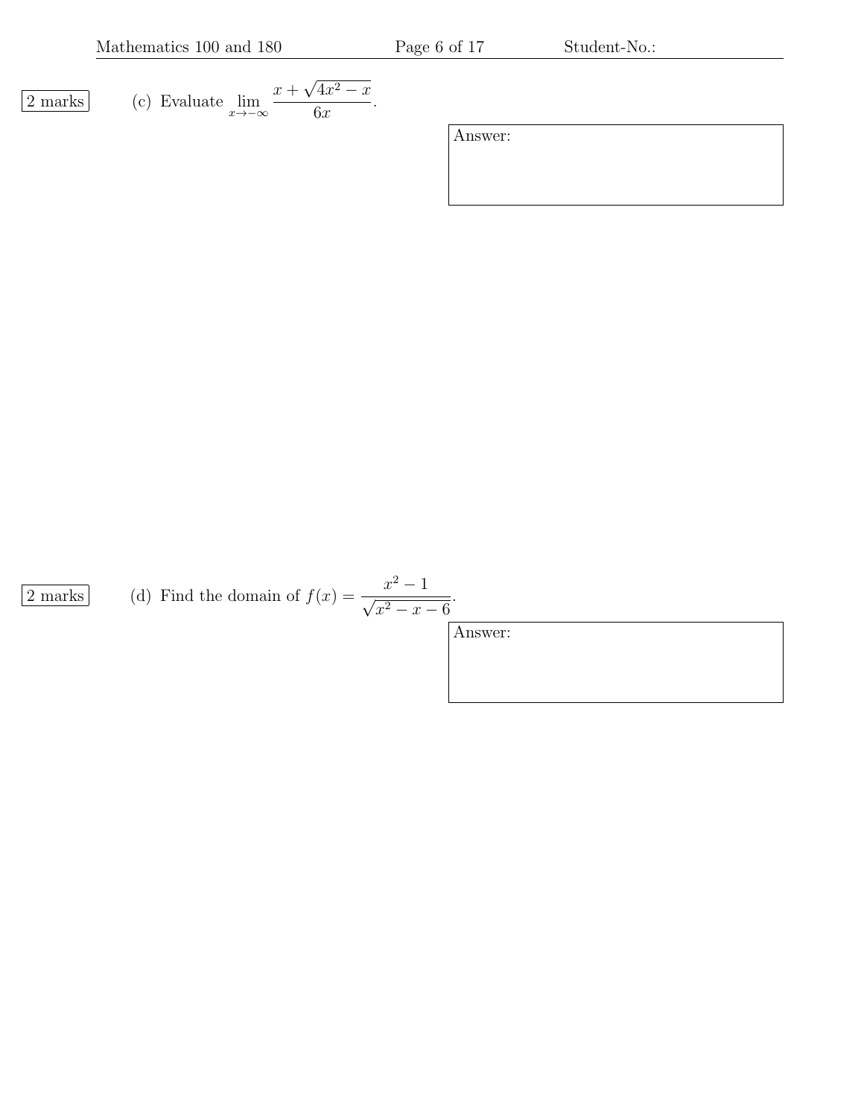Mathematics 100 and 180 Page 6 of 17 Student-No.:

$$
\boxed{2 \text{ marks}} \qquad \text{(c) Evaluate } \lim_{x \to -\infty} \frac{x + \sqrt{4x^2 - x}}{6x}.
$$

Answer:

 $\boxed{2 \text{ marks}}$  (d) Find the domain of  $f(x) = \frac{x^2 - 1}{\sqrt{2}}$  $x^2 - x - 6$ 

Answer:

.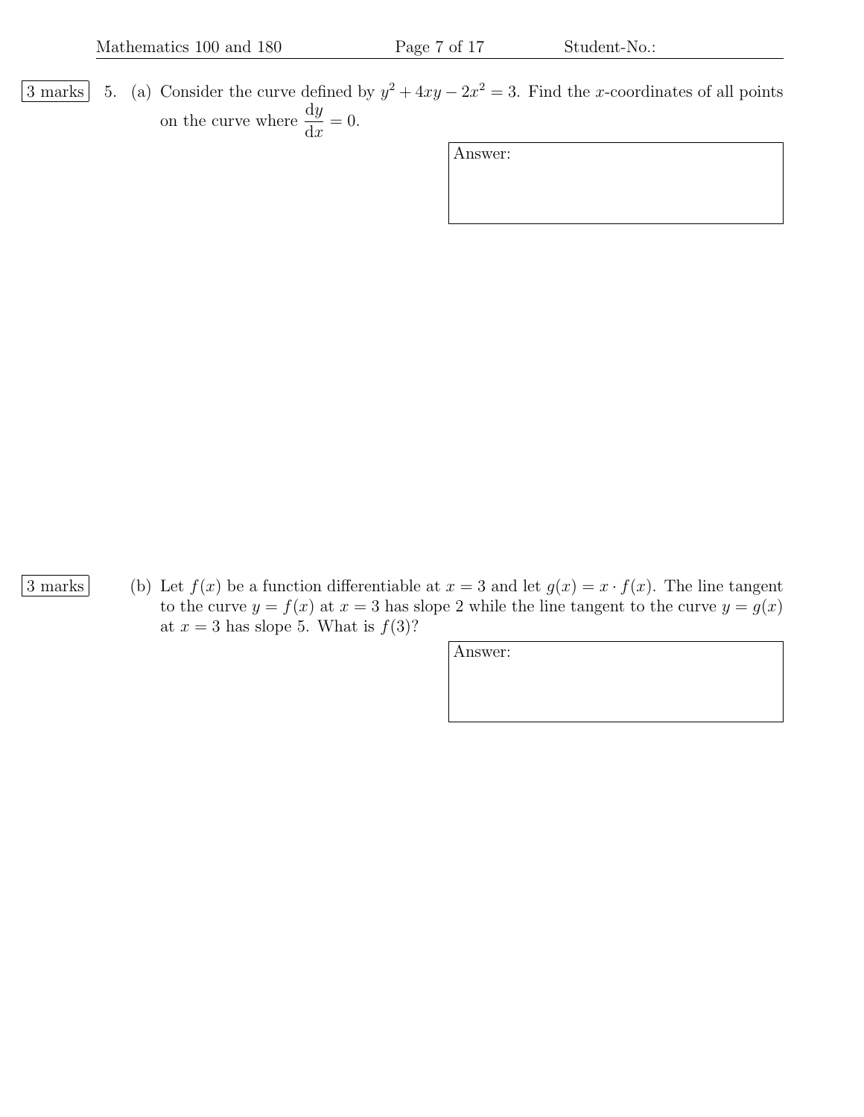3 marks 5. (a) Consider the curve defined by  $y^2 + 4xy - 2x^2 = 3$ . Find the x-coordinates of all points on the curve where  $\frac{dy}{dx}$  $dx$  $= 0.$ 

Answer:

3 marks (b) Let  $f(x)$  be a function differentiable at  $x = 3$  and let  $g(x) = x \cdot f(x)$ . The line tangent to the curve  $y = f(x)$  at  $x = 3$  has slope 2 while the line tangent to the curve  $y = g(x)$ at  $x = 3$  has slope 5. What is  $f(3)$ ?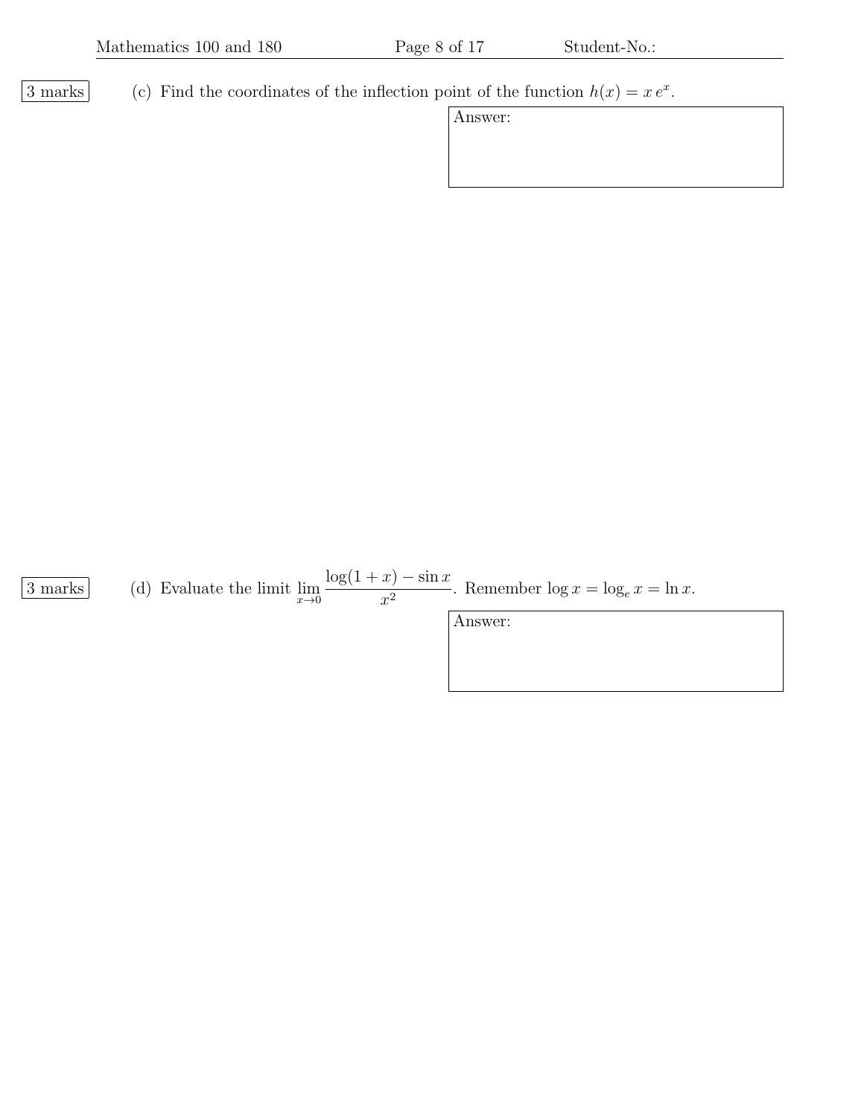3 marks (c) Find the coordinates of the inflection point of the function  $h(x) = x e^x$ .

| A nswer |  |
|---------|--|
|---------|--|

 $\frac{3 \text{ marks}}{x \rightarrow 0}$  (d) Evaluate the limit  $\lim_{x \rightarrow 0}$  $\log(1+x) - \sin x$  $rac{x^2}{x^2}$ . Remember  $\log x = \log_e x = \ln x$ .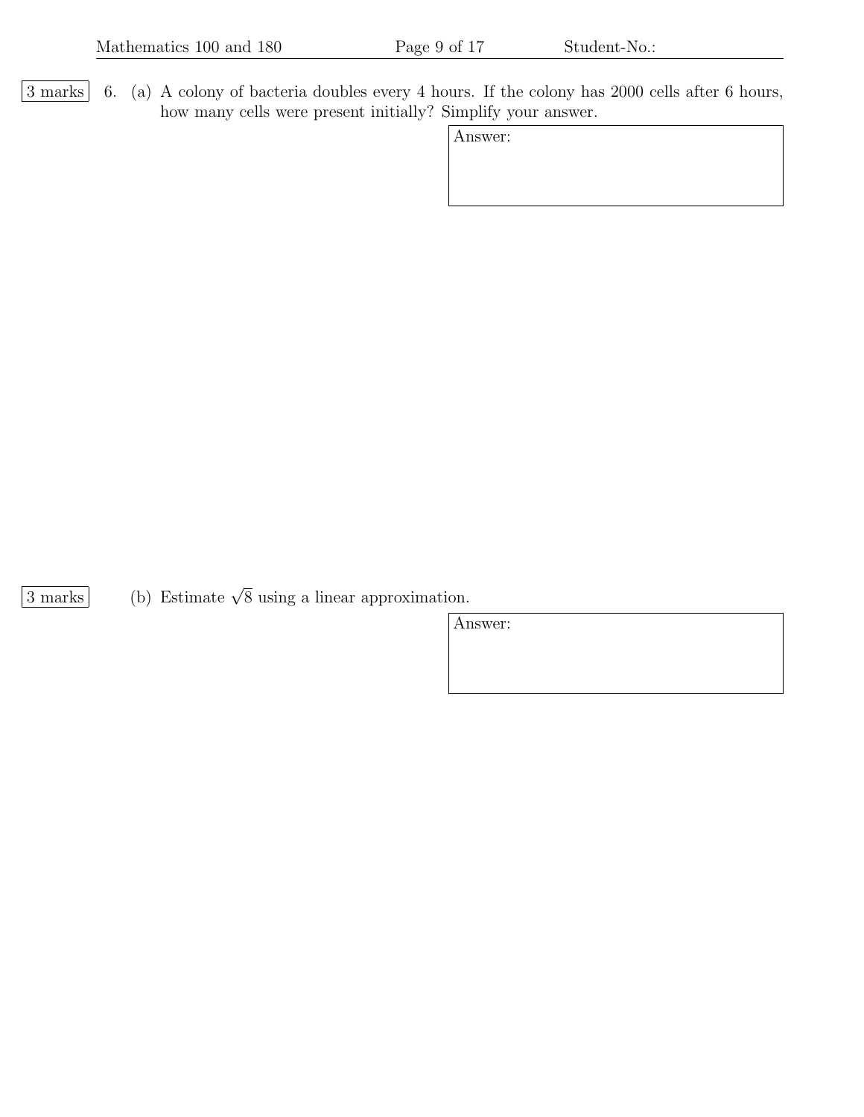$\boxed{3 \text{ marks}}$  6. (a) A colony of bacteria doubles every 4 hours. If the colony has 2000 cells after 6 hours, how many cells were present initially? Simplify your answer.

Answer:

 $\overline{3 \text{ marks}}$  (b) Estimate  $\sqrt{8}$  using a linear approximation.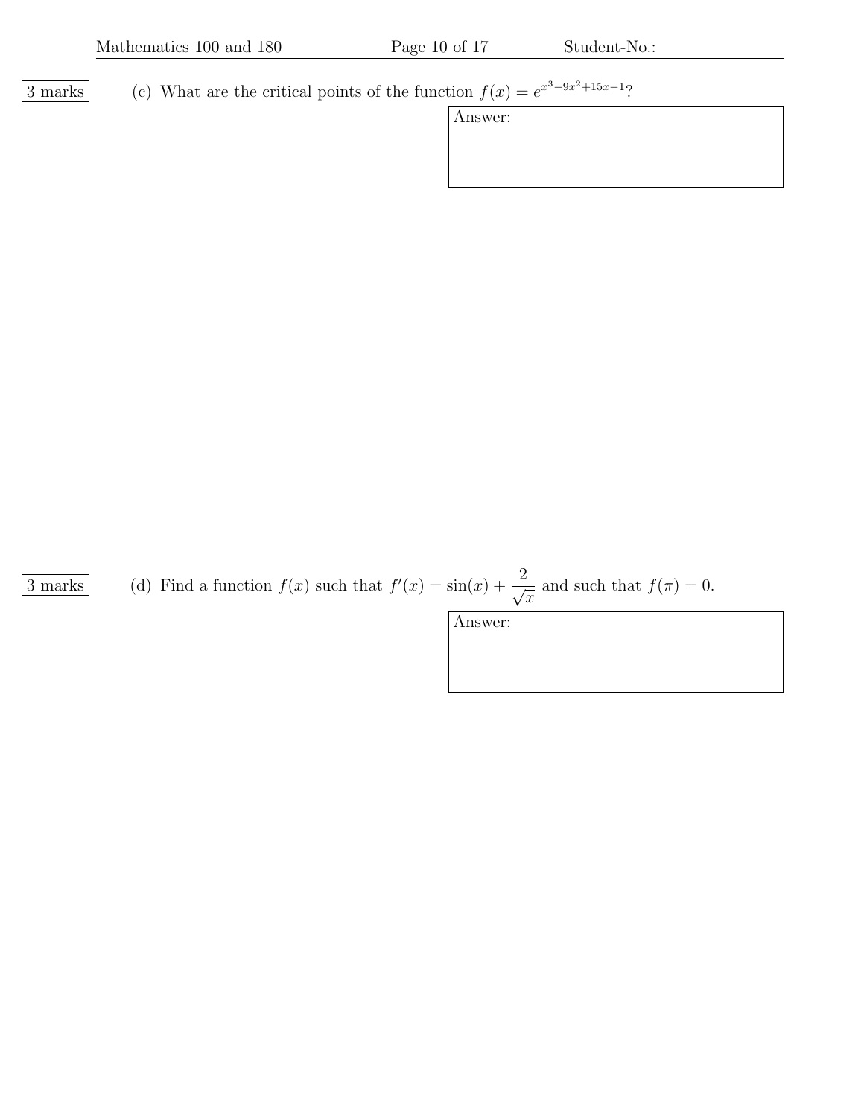3 marks (c) What are the critical points of the function  $f(x) = e^{x^3-9x^2+15x-1}$ ?

Answer:

 $\overline{3 \text{ marks}}$  (d) Find a function  $f(x)$  such that  $f'(x) = \sin(x) + \frac{2}{\sqrt{x}}$  $\overline{x}$ and such that  $f(\pi) = 0$ .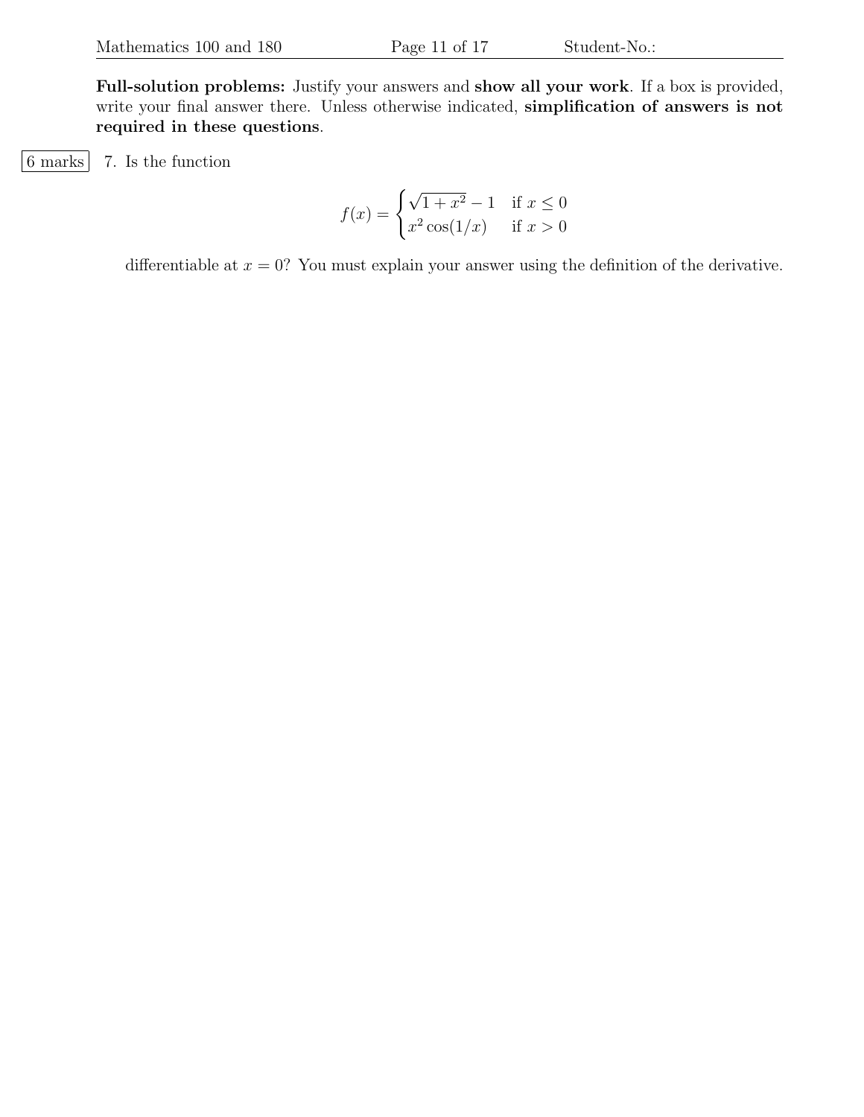Full-solution problems: Justify your answers and show all your work. If a box is provided, write your final answer there. Unless otherwise indicated, simplification of answers is not required in these questions.

 $|6 \text{ marks}|$  7. Is the function

$$
f(x) = \begin{cases} \sqrt{1 + x^2} - 1 & \text{if } x \le 0\\ x^2 \cos(1/x) & \text{if } x > 0 \end{cases}
$$

differentiable at  $x = 0$ ? You must explain your answer using the definition of the derivative.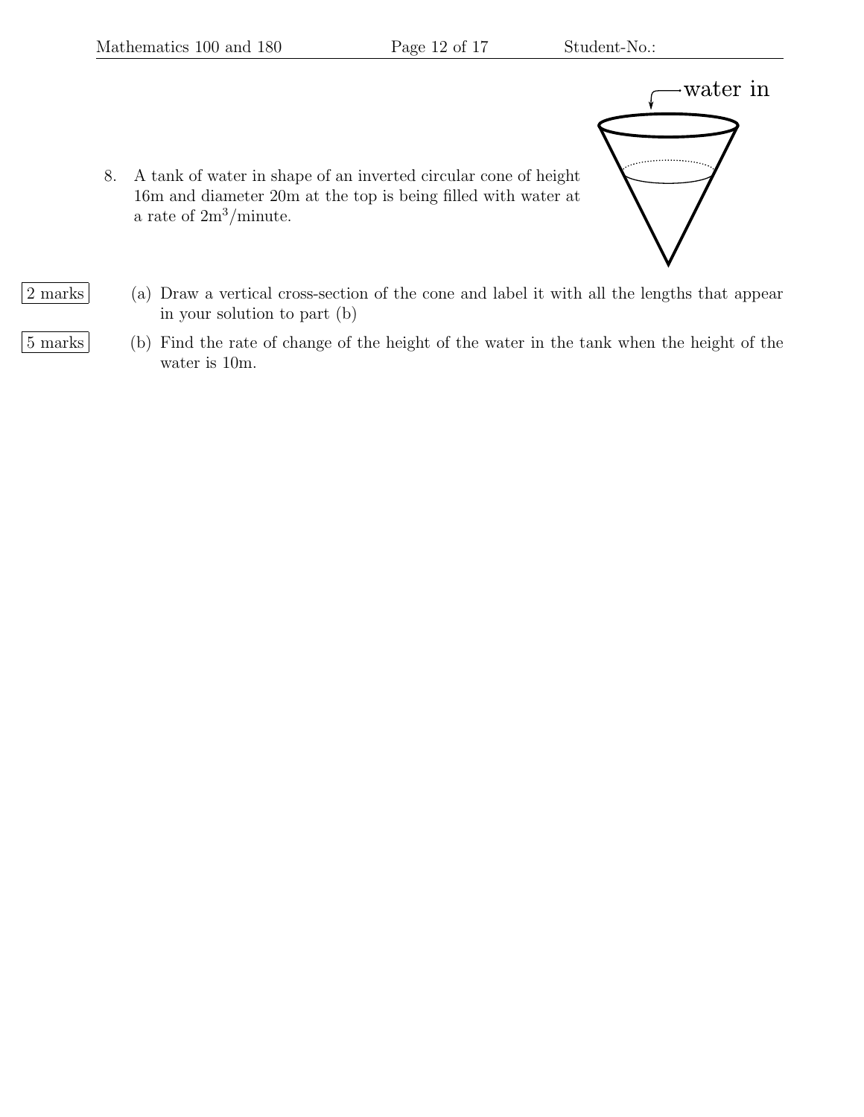

- 8. A tank of water in shape of an inverted circular cone of height 16m and diameter 20m at the top is being filled with water at a rate of  $2m^3/m$ inute.
- 2 marks (a) Draw a vertical cross-section of the cone and label it with all the lengths that appear in your solution to part (b)
- 5 marks (b) Find the rate of change of the height of the water in the tank when the height of the water is 10m.
-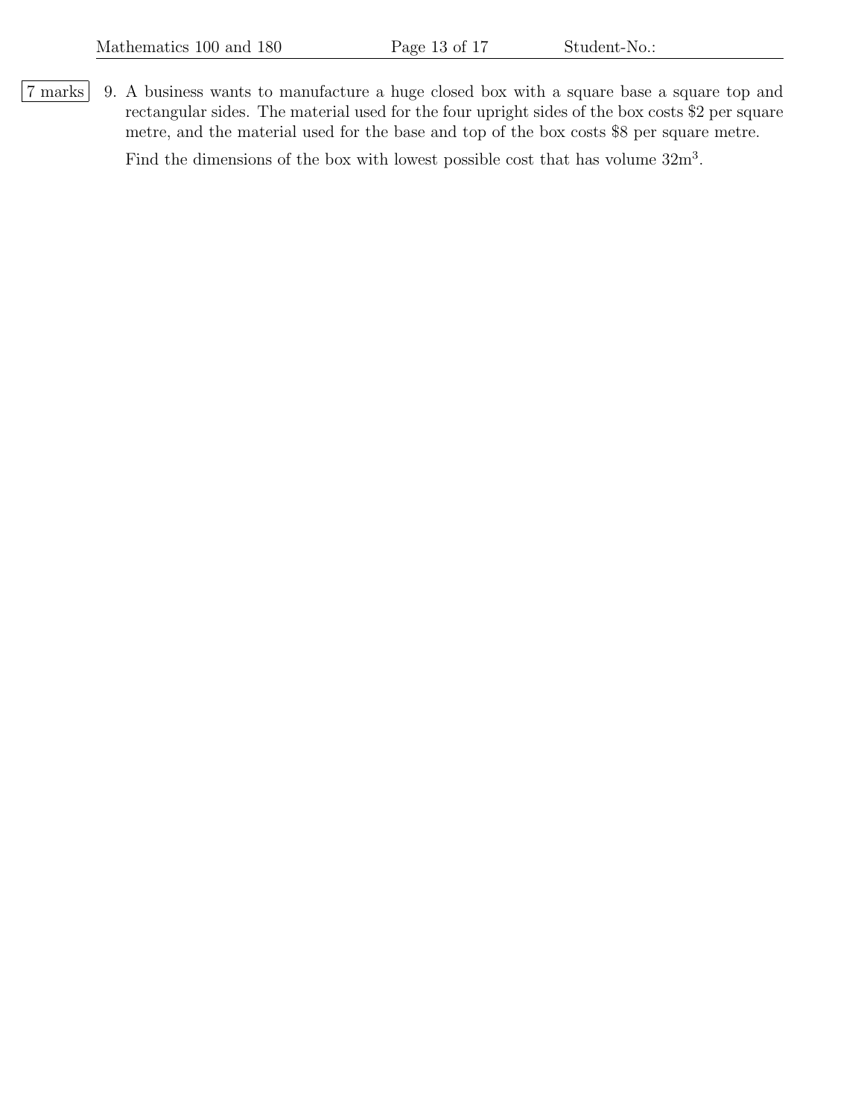7 marks 9. A business wants to manufacture a huge closed box with a square base a square top and rectangular sides. The material used for the four upright sides of the box costs \$2 per square metre, and the material used for the base and top of the box costs \$8 per square metre. Find the dimensions of the box with lowest possible cost that has volume  $32m<sup>3</sup>$ .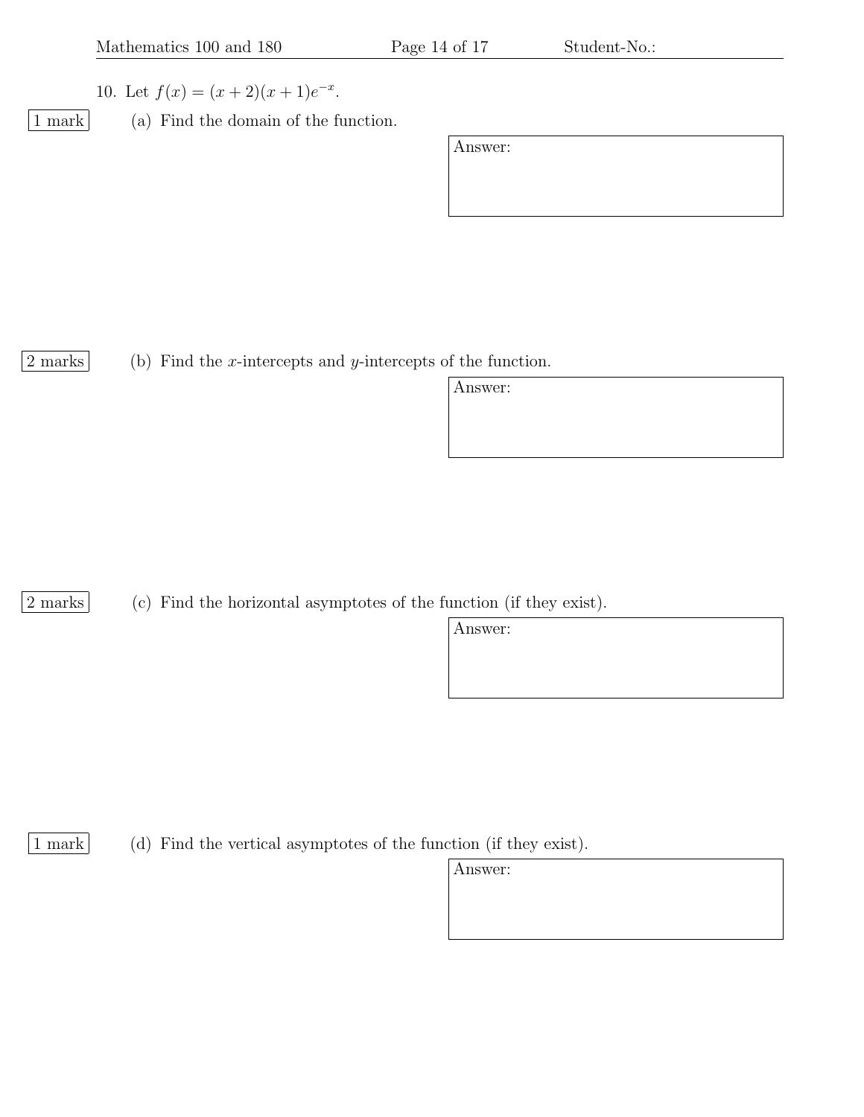- 10. Let  $f(x) = (x+2)(x+1)e^{-x}$ .
- 
- 1 mark (a) Find the domain of the function.

Answer:

2 marks (b) Find the *x*-intercepts and *y*-intercepts of the function.

Answer:

[2 marks] (c) Find the horizontal asymptotes of the function (if they exist).

Answer:

1 mark (d) Find the vertical asymptotes of the function (if they exist).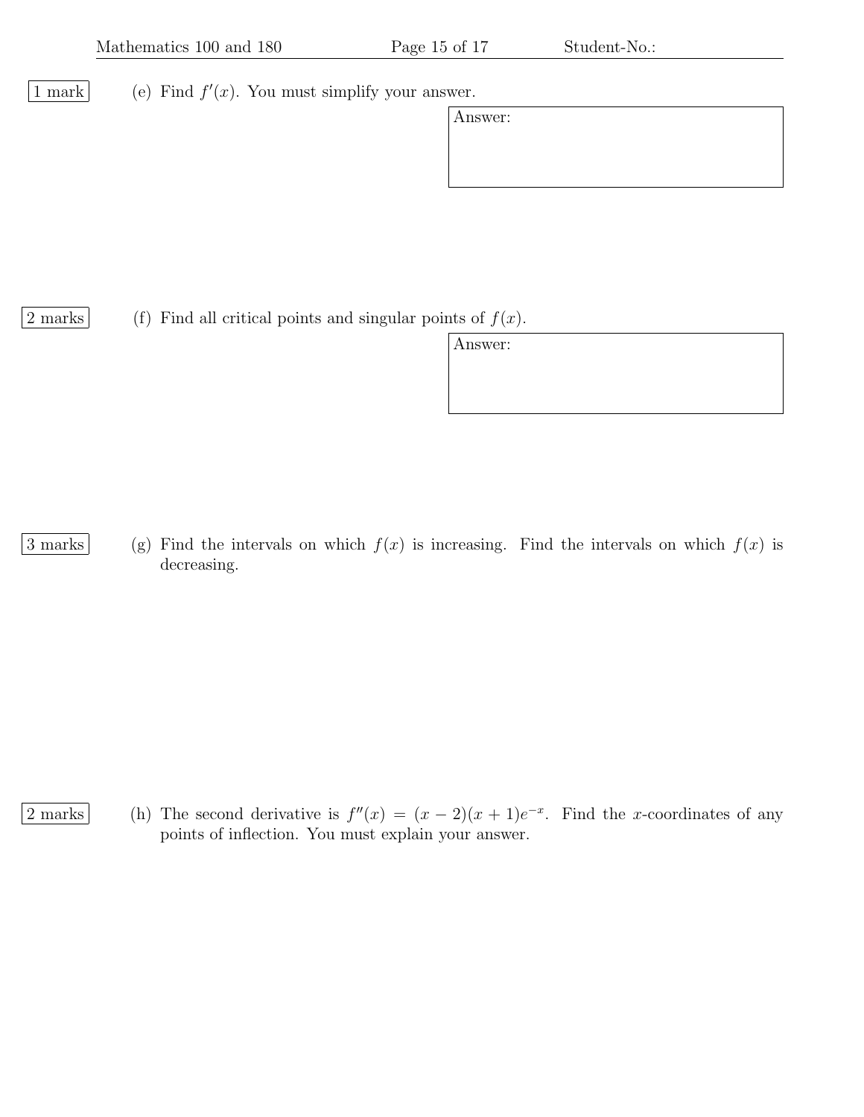1 mark (e) Find  $f'(x)$ . You must simplify your answer.

| Answer: |  |  |  |
|---------|--|--|--|
|         |  |  |  |
|         |  |  |  |
|         |  |  |  |

2 marks (f) Find all critical points and singular points of  $f(x)$ .

Answer:

3 marks (g) Find the intervals on which  $f(x)$  is increasing. Find the intervals on which  $f(x)$  is decreasing.

2 marks (h) The second derivative is  $f''(x) = (x-2)(x+1)e^{-x}$ . Find the x-coordinates of any points of inflection. You must explain your answer.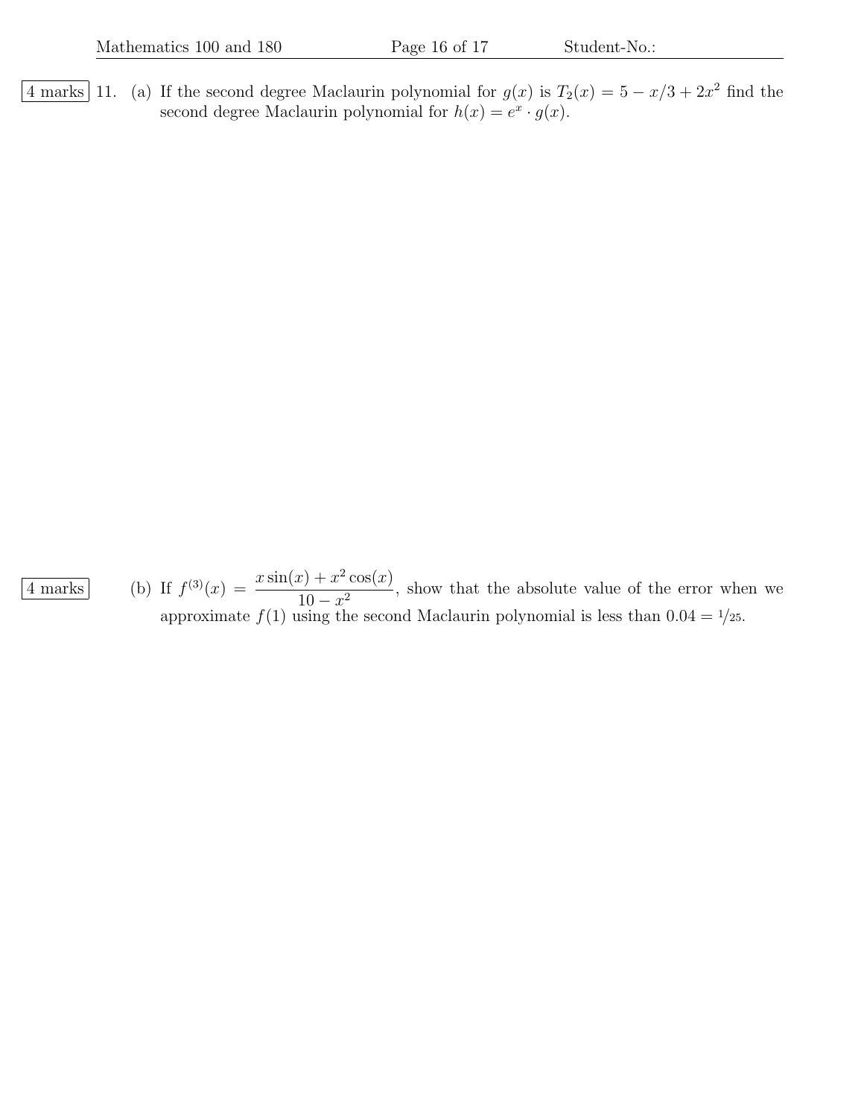4 marks 11. (a) If the second degree Maclaurin polynomial for  $g(x)$  is  $T_2(x) = 5 - x/3 + 2x^2$  find the second degree Maclaurin polynomial for  $h(x) = e^x \cdot g(x)$ .

 $\frac{4 \text{ marks}}{4 \text{ marks}}$  (b) If  $f^{(3)}(x) = \frac{x \sin(x) + x^2 \cos(x)}{10^{9}}$  $\frac{10-x^2}{10-x^2}$ , show that the absolute value of the error when we approximate  $f(1)$  using the second Maclaurin polynomial is less than  $0.04 = \frac{1}{25}$ .